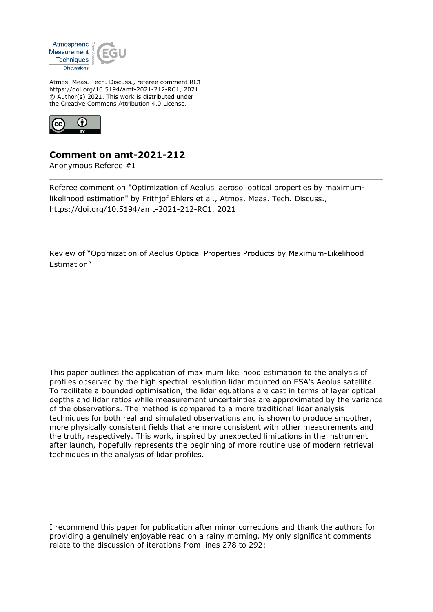

Atmos. Meas. Tech. Discuss., referee comment RC1 https://doi.org/10.5194/amt-2021-212-RC1, 2021 © Author(s) 2021. This work is distributed under the Creative Commons Attribution 4.0 License.



## **Comment on amt-2021-212**

Anonymous Referee #1

Referee comment on "Optimization of Aeolus' aerosol optical properties by maximumlikelihood estimation" by Frithjof Ehlers et al., Atmos. Meas. Tech. Discuss., https://doi.org/10.5194/amt-2021-212-RC1, 2021

Review of "Optimization of Aeolus Optical Properties Products by Maximum-Likelihood Estimation"

This paper outlines the application of maximum likelihood estimation to the analysis of profiles observed by the high spectral resolution lidar mounted on ESA's Aeolus satellite. To facilitate a bounded optimisation, the lidar equations are cast in terms of layer optical depths and lidar ratios while measurement uncertainties are approximated by the variance of the observations. The method is compared to a more traditional lidar analysis techniques for both real and simulated observations and is shown to produce smoother, more physically consistent fields that are more consistent with other measurements and the truth, respectively. This work, inspired by unexpected limitations in the instrument after launch, hopefully represents the beginning of more routine use of modern retrieval techniques in the analysis of lidar profiles.

I recommend this paper for publication after minor corrections and thank the authors for providing a genuinely enjoyable read on a rainy morning. My only significant comments relate to the discussion of iterations from lines 278 to 292: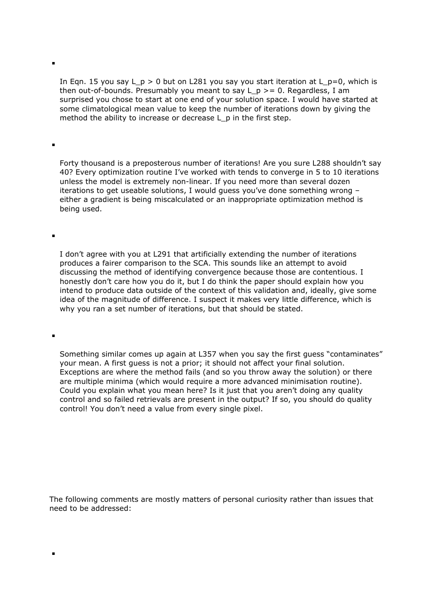In Eqn. 15 you say L\_p > 0 but on L281 you say you start iteration at L\_p=0, which is then out-of-bounds. Presumably you meant to say  $L_p \ge 0$ . Regardless, I am surprised you chose to start at one end of your solution space. I would have started at some climatological mean value to keep the number of iterations down by giving the method the ability to increase or decrease L p in the first step.

 $\blacksquare$ 

ř.

 $\blacksquare$ 

Forty thousand is a preposterous number of iterations! Are you sure L288 shouldn't say 40? Every optimization routine I've worked with tends to converge in 5 to 10 iterations unless the model is extremely non-linear. If you need more than several dozen iterations to get useable solutions, I would guess you've done something wrong – either a gradient is being miscalculated or an inappropriate optimization method is being used.

I don't agree with you at L291 that artificially extending the number of iterations produces a fairer comparison to the SCA. This sounds like an attempt to avoid discussing the method of identifying convergence because those are contentious. I honestly don't care how you do it, but I do think the paper should explain how you intend to produce data outside of the context of this validation and, ideally, give some idea of the magnitude of difference. I suspect it makes very little difference, which is why you ran a set number of iterations, but that should be stated.

Something similar comes up again at L357 when you say the first guess "contaminates" your mean. A first guess is not a prior; it should not affect your final solution. Exceptions are where the method fails (and so you throw away the solution) or there are multiple minima (which would require a more advanced minimisation routine). Could you explain what you mean here? Is it just that you aren't doing any quality control and so failed retrievals are present in the output? If so, you should do quality control! You don't need a value from every single pixel.

The following comments are mostly matters of personal curiosity rather than issues that need to be addressed: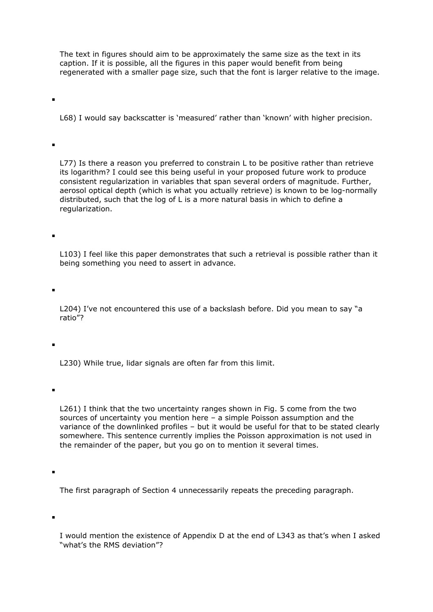The text in figures should aim to be approximately the same size as the text in its caption. If it is possible, all the figures in this paper would benefit from being regenerated with a smaller page size, such that the font is larger relative to the image.

L68) I would say backscatter is 'measured' rather than 'known' with higher precision.

L77) Is there a reason you preferred to constrain L to be positive rather than retrieve its logarithm? I could see this being useful in your proposed future work to produce consistent regularization in variables that span several orders of magnitude. Further, aerosol optical depth (which is what you actually retrieve) is known to be log-normally distributed, such that the log of L is a more natural basis in which to define a regularization.

L103) I feel like this paper demonstrates that such a retrieval is possible rather than it being something you need to assert in advance.

L204) I've not encountered this use of a backslash before. Did you mean to say "a ratio"?

L230) While true, lidar signals are often far from this limit.

ř.

L261) I think that the two uncertainty ranges shown in Fig. 5 come from the two sources of uncertainty you mention here – a simple Poisson assumption and the variance of the downlinked profiles – but it would be useful for that to be stated clearly somewhere. This sentence currently implies the Poisson approximation is not used in the remainder of the paper, but you go on to mention it several times.

The first paragraph of Section 4 unnecessarily repeats the preceding paragraph.

I would mention the existence of Appendix D at the end of L343 as that's when I asked "what's the RMS deviation"?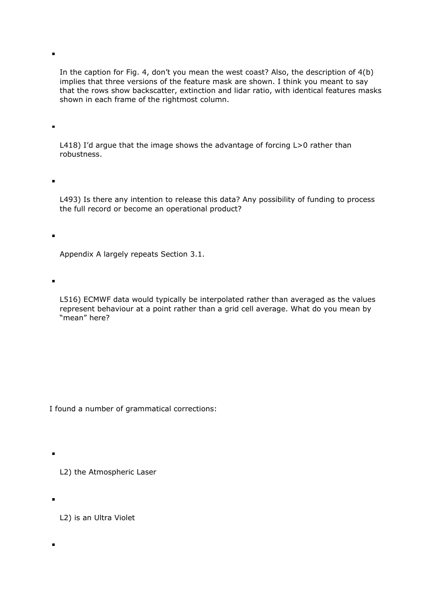In the caption for Fig. 4, don't you mean the west coast? Also, the description of 4(b) implies that three versions of the feature mask are shown. I think you meant to say that the rows show backscatter, extinction and lidar ratio, with identical features masks shown in each frame of the rightmost column.

 $\blacksquare$ 

Ĩ.

 $\blacksquare$ 

ř.

 $\blacksquare$ 

L418) I'd argue that the image shows the advantage of forcing L>0 rather than robustness.

L493) Is there any intention to release this data? Any possibility of funding to process the full record or become an operational product?

Appendix A largely repeats Section 3.1.

L516) ECMWF data would typically be interpolated rather than averaged as the values represent behaviour at a point rather than a grid cell average. What do you mean by "mean" here?

I found a number of grammatical corrections:

L2) the Atmospheric Laser

L2) is an Ultra Violet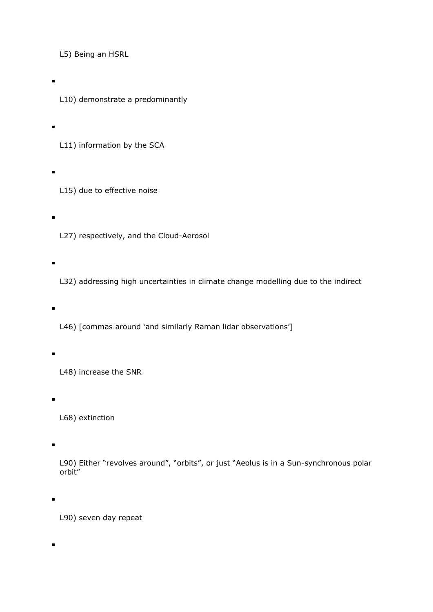L5) Being an HSRL

L10) demonstrate a predominantly

L11) information by the SCA

L15) due to effective noise

 $\blacksquare$ 

L27) respectively, and the Cloud-Aerosol

L32) addressing high uncertainties in climate change modelling due to the indirect

L46) [commas around 'and similarly Raman lidar observations']

L48) increase the SNR

L68) extinction

L90) Either "revolves around", "orbits", or just "Aeolus is in a Sun-synchronous polar orbit"

L90) seven day repeat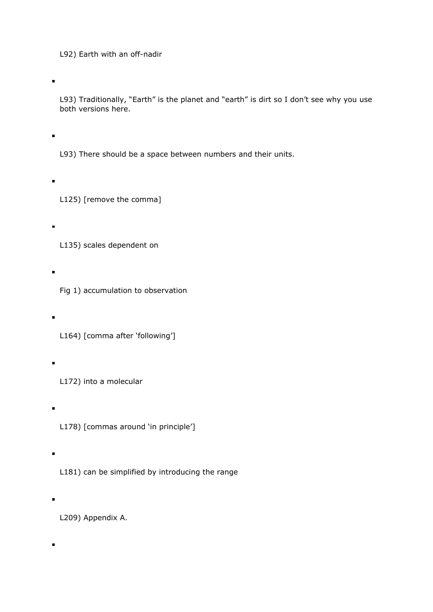L92) Earth with an off-nadir

L93) Traditionally, "Earth" is the planet and "earth" is dirt so I don't see why you use both versions here.

L93) There should be a space between numbers and their units.

L125) [remove the comma]

 $\blacksquare$ 

L135) scales dependent on

Fig 1) accumulation to observation

L164) [comma after 'following']

L172) into a molecular

L178) [commas around 'in principle']

L181) can be simplified by introducing the range

L209) Appendix A.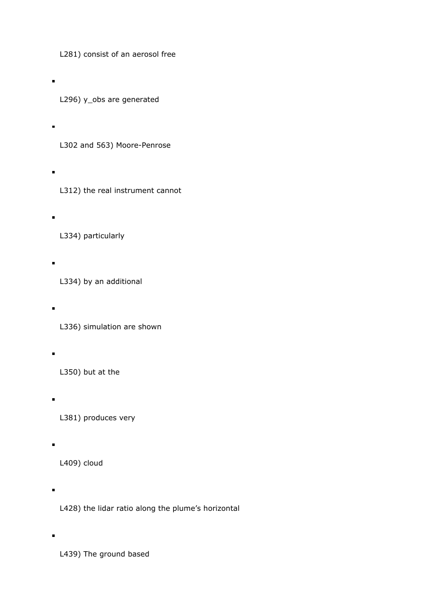L281) consist of an aerosol free

L296) y\_obs are generated

- L302 and 563) Moore-Penrose
- 

L312) the real instrument cannot

L334) particularly

L334) by an additional

L336) simulation are shown

L350) but at the

- L381) produces very
- L409) cloud

L428) the lidar ratio along the plume's horizontal

L439) The ground based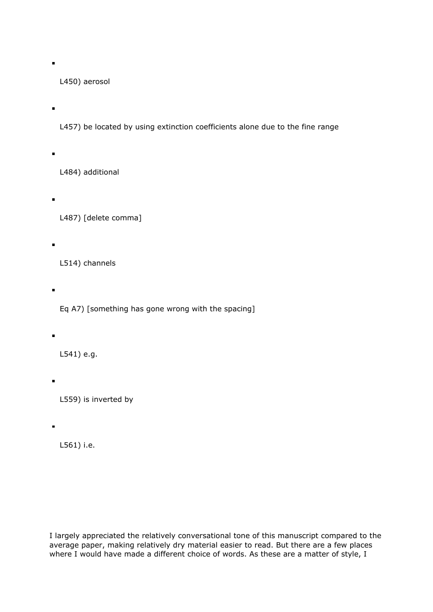L450) aerosol

÷

L457) be located by using extinction coefficients alone due to the fine range

L484) additional

L487) [delete comma]

L514) channels

Eq A7) [something has gone wrong with the spacing]

L541) e.g.

L559) is inverted by

L561) i.e.

I largely appreciated the relatively conversational tone of this manuscript compared to the average paper, making relatively dry material easier to read. But there are a few places where I would have made a different choice of words. As these are a matter of style, I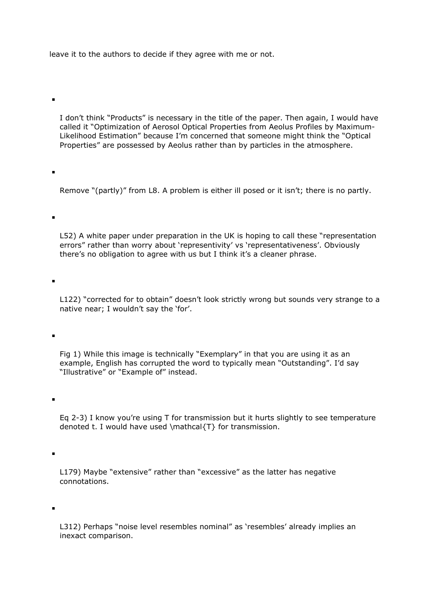leave it to the authors to decide if they agree with me or not.

 $\blacksquare$ 

 $\blacksquare$ 

ř.

 $\blacksquare$ 

 $\blacksquare$ 

I don't think "Products" is necessary in the title of the paper. Then again, I would have called it "Optimization of Aerosol Optical Properties from Aeolus Profiles by Maximum-Likelihood Estimation" because I'm concerned that someone might think the "Optical Properties" are possessed by Aeolus rather than by particles in the atmosphere.

Remove "(partly)" from L8. A problem is either ill posed or it isn't; there is no partly.

L52) A white paper under preparation in the UK is hoping to call these "representation errors" rather than worry about 'representivity' vs 'representativeness'. Obviously there's no obligation to agree with us but I think it's a cleaner phrase.

L122) "corrected for to obtain" doesn't look strictly wrong but sounds very strange to a native near; I wouldn't say the 'for'.

Fig 1) While this image is technically "Exemplary" in that you are using it as an example, English has corrupted the word to typically mean "Outstanding". I'd say "Illustrative" or "Example of" instead.

Eq 2-3) I know you're using T for transmission but it hurts slightly to see temperature denoted t. I would have used \mathcal{T} for transmission.

L179) Maybe "extensive" rather than "excessive" as the latter has negative connotations.

L312) Perhaps "noise level resembles nominal" as 'resembles' already implies an inexact comparison.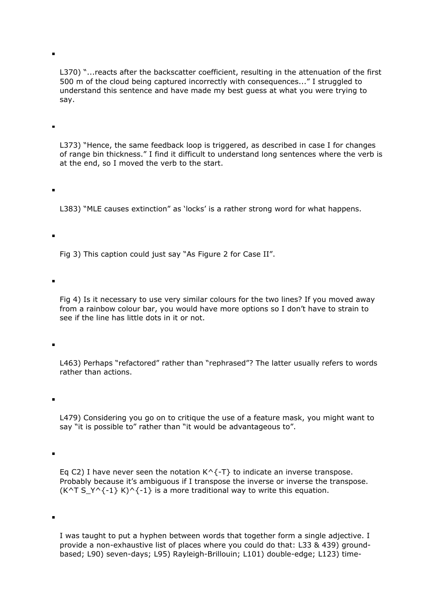L370) "...reacts after the backscatter coefficient, resulting in the attenuation of the first 500 m of the cloud being captured incorrectly with consequences..." I struggled to understand this sentence and have made my best guess at what you were trying to say.

ř.

 $\blacksquare$ 

L373) "Hence, the same feedback loop is triggered, as described in case I for changes of range bin thickness." I find it difficult to understand long sentences where the verb is at the end, so I moved the verb to the start.

L383) "MLE causes extinction" as 'locks' is a rather strong word for what happens.

Fig 3) This caption could just say "As Figure 2 for Case II".

Fig 4) Is it necessary to use very similar colours for the two lines? If you moved away from a rainbow colour bar, you would have more options so I don't have to strain to see if the line has little dots in it or not.

L463) Perhaps "refactored" rather than "rephrased"? The latter usually refers to words rather than actions.

 $\blacksquare$ 

ř.

L479) Considering you go on to critique the use of a feature mask, you might want to say "it is possible to" rather than "it would be advantageous to".

 $\blacksquare$ 

Eq C2) I have never seen the notation  $K^{\wedge}$  {-T} to indicate an inverse transpose. Probably because it's ambiguous if I transpose the inverse or inverse the transpose. (K^T S\_Y^{-1} K)^{-1} is a more traditional way to write this equation.

I was taught to put a hyphen between words that together form a single adjective. I provide a non-exhaustive list of places where you could do that: L33 & 439) groundbased; L90) seven-days; L95) Rayleigh-Brillouin; L101) double-edge; L123) time